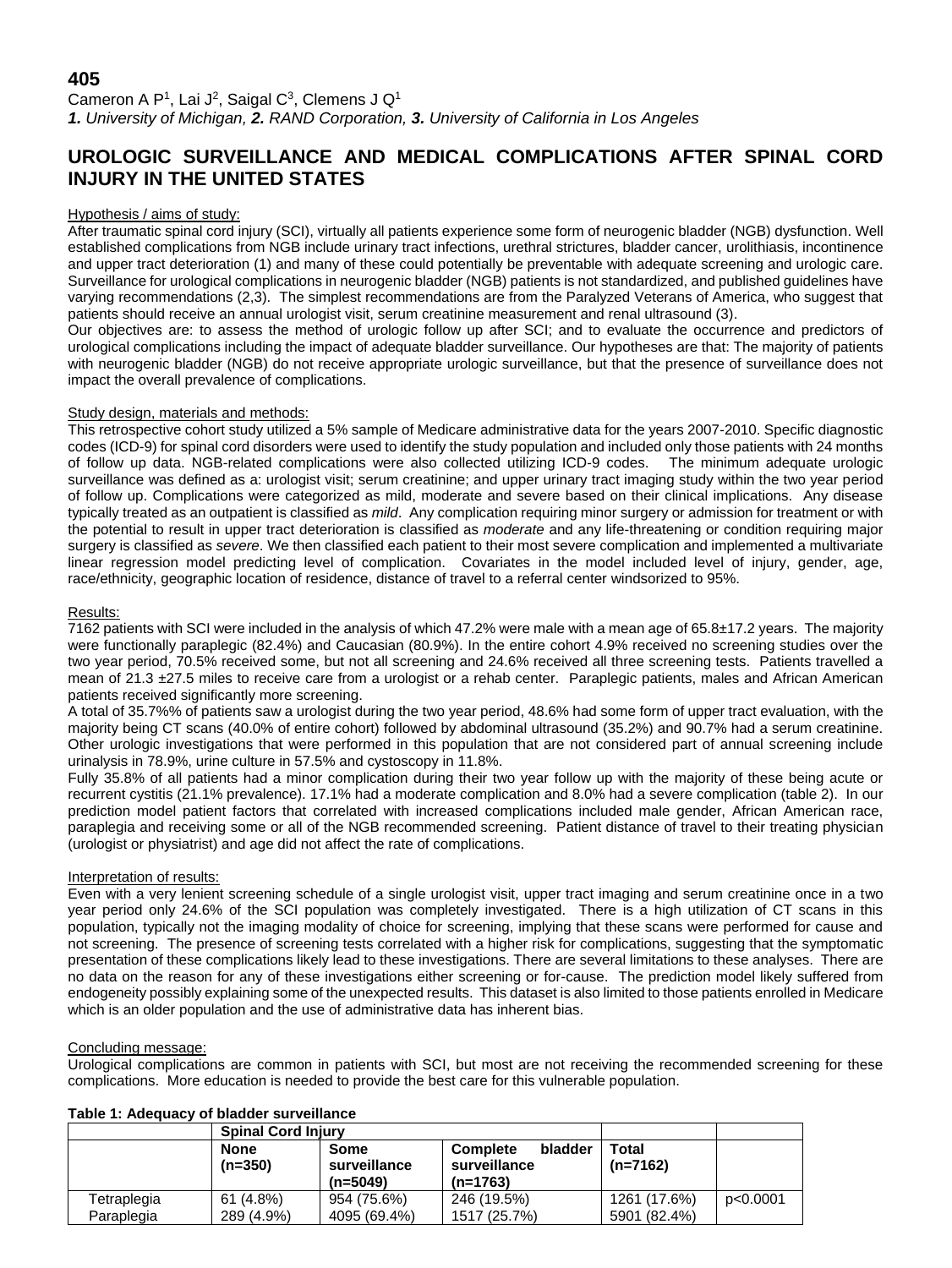## **405**

Cameron A P<sup>1</sup>, Lai J<sup>2</sup>, Saigal C<sup>3</sup>, Clemens J Q<sup>1</sup> *1. University of Michigan, 2. RAND Corporation, 3. University of California in Los Angeles*

# **UROLOGIC SURVEILLANCE AND MEDICAL COMPLICATIONS AFTER SPINAL CORD INJURY IN THE UNITED STATES**

#### Hypothesis / aims of study:

After traumatic spinal cord injury (SCI), virtually all patients experience some form of neurogenic bladder (NGB) dysfunction. Well established complications from NGB include urinary tract infections, urethral strictures, bladder cancer, urolithiasis, incontinence and upper tract deterioration (1) and many of these could potentially be preventable with adequate screening and urologic care. Surveillance for urological complications in neurogenic bladder (NGB) patients is not standardized, and published guidelines have varying recommendations (2,3). The simplest recommendations are from the Paralyzed Veterans of America, who suggest that patients should receive an annual urologist visit, serum creatinine measurement and renal ultrasound (3).

Our objectives are: to assess the method of urologic follow up after SCI; and to evaluate the occurrence and predictors of urological complications including the impact of adequate bladder surveillance. Our hypotheses are that: The majority of patients with neurogenic bladder (NGB) do not receive appropriate urologic surveillance, but that the presence of surveillance does not impact the overall prevalence of complications.

#### Study design, materials and methods:

This retrospective cohort study utilized a 5% sample of Medicare administrative data for the years 2007-2010. Specific diagnostic codes (ICD-9) for spinal cord disorders were used to identify the study population and included only those patients with 24 months of follow up data. NGB-related complications were also collected utilizing ICD-9 codes. The minimum adequate urologic surveillance was defined as a: urologist visit; serum creatinine; and upper urinary tract imaging study within the two year period of follow up. Complications were categorized as mild, moderate and severe based on their clinical implications. Any disease typically treated as an outpatient is classified as *mild*. Any complication requiring minor surgery or admission for treatment or with the potential to result in upper tract deterioration is classified as *moderate* and any life-threatening or condition requiring major surgery is classified as *severe*. We then classified each patient to their most severe complication and implemented a multivariate linear regression model predicting level of complication. Covariates in the model included level of injury, gender, age, race/ethnicity, geographic location of residence, distance of travel to a referral center windsorized to 95%.

#### Results:

7162 patients with SCI were included in the analysis of which 47.2% were male with a mean age of 65.8±17.2 years. The majority were functionally paraplegic (82.4%) and Caucasian (80.9%). In the entire cohort 4.9% received no screening studies over the two year period, 70.5% received some, but not all screening and 24.6% received all three screening tests. Patients travelled a mean of 21.3 ±27.5 miles to receive care from a urologist or a rehab center. Paraplegic patients, males and African American patients received significantly more screening.

A total of 35.7%% of patients saw a urologist during the two year period, 48.6% had some form of upper tract evaluation, with the majority being CT scans (40.0% of entire cohort) followed by abdominal ultrasound (35.2%) and 90.7% had a serum creatinine. Other urologic investigations that were performed in this population that are not considered part of annual screening include urinalysis in 78.9%, urine culture in 57.5% and cystoscopy in 11.8%.

Fully 35.8% of all patients had a minor complication during their two year follow up with the majority of these being acute or recurrent cystitis (21.1% prevalence). 17.1% had a moderate complication and 8.0% had a severe complication (table 2). In our prediction model patient factors that correlated with increased complications included male gender, African American race, paraplegia and receiving some or all of the NGB recommended screening. Patient distance of travel to their treating physician (urologist or physiatrist) and age did not affect the rate of complications.

#### Interpretation of results:

Even with a very lenient screening schedule of a single urologist visit, upper tract imaging and serum creatinine once in a two year period only 24.6% of the SCI population was completely investigated. There is a high utilization of CT scans in this population, typically not the imaging modality of choice for screening, implying that these scans were performed for cause and not screening. The presence of screening tests correlated with a higher risk for complications, suggesting that the symptomatic presentation of these complications likely lead to these investigations. There are several limitations to these analyses. There are no data on the reason for any of these investigations either screening or for-cause. The prediction model likely suffered from endogeneity possibly explaining some of the unexpected results. This dataset is also limited to those patients enrolled in Medicare which is an older population and the use of administrative data has inherent bias.

#### Concluding message:

Urological complications are common in patients with SCI, but most are not receiving the recommended screening for these complications. More education is needed to provide the best care for this vulnerable population.

|                           | <b>Spinal Cord Injury</b> |                                    |                                                          |                              |          |
|---------------------------|---------------------------|------------------------------------|----------------------------------------------------------|------------------------------|----------|
|                           | <b>None</b><br>$(n=350)$  | Some<br>surveillance<br>$(n=5049)$ | bladder<br><b>Complete</b><br>surveillance<br>$(n=1763)$ | Total<br>$(n=7162)$          |          |
| Tetraplegia<br>Paraplegia | 61 (4.8%)<br>289 (4.9%)   | 954 (75.6%)<br>4095 (69.4%)        | 246 (19.5%)<br>1517 (25.7%)                              | 1261 (17.6%)<br>5901 (82.4%) | p<0.0001 |

### **Table 1: Adequacy of bladder surveillance**